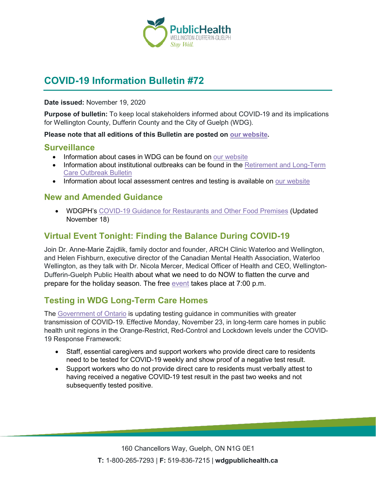

# **COVID-19 Information Bulletin #72**

#### **Date issued:** November 19, 2020

**Purpose of bulletin:** To keep local stakeholders informed about COVID-19 and its implications for Wellington County, Dufferin County and the City of Guelph (WDG).

#### **Please note that all editions of this Bulletin are posted on [our website.](https://www.wdgpublichealth.ca/your-health/covid-19-information-workplaces-and-living-spaces/community-stakeholder-bulletins)**

#### **Surveillance**

- Information about cases in WDG can be found on [our website](https://wdgpublichealth.ca/your-health/covid-19-information-public/status-cases-wdg)
- Information about institutional outbreaks can be found in the Retirement and Long-Term [Care Outbreak Bulletin](https://wdgpublichealth.ca/node/1542)
- Information about local assessment centres and testing is available on [our website](https://www.wdgpublichealth.ca/your-health/covid-19-information-public/assessment-centres-wdg)

### **New and Amended Guidance**

• WDGPH's [COVID-19 Guidance for Restaurants and Other Food Premises](https://www.wdgpublichealth.ca/sites/default/files/covid-19_guidance_restaurants_and_other_food_premises_-_orange.pdf) (Updated November 18)

### **Virtual Event Tonight: Finding the Balance During COVID-19**

Join Dr. Anne-Marie Zajdlik, family doctor and founder, ARCH Clinic Waterloo and Wellington, and Helen Fishburn, executive director of the Canadian Mental Health Association, Waterloo Wellington, as they talk with Dr. Nicola Mercer, Medical Officer of Health and CEO, Wellington-Dufferin-Guelph Public Health about what we need to do NOW to flatten the curve and prepare for the holiday season. The free [event](https://cmhaww.ca/events/finding-the-balance-during-covid-19-with-special-guest-dr-nicola-mercer) takes place at 7:00 p.m.

## **Testing in WDG Long-Term Care Homes**

The [Government of Ontario](https://news.ontario.ca/en/release/59252/ontario-announces-13-new-ontario-health-teams) is updating testing guidance in communities with greater transmission of COVID-19. Effective Monday, November 23, in long-term care homes in public health unit regions in the Orange-Restrict, Red-Control and Lockdown levels under the COVID-19 Response Framework:

- Staff, essential caregivers and support workers who provide direct care to residents need to be tested for COVID-19 weekly and show proof of a negative test result.
- Support workers who do not provide direct care to residents must verbally attest to having received a negative COVID-19 test result in the past two weeks and not subsequently tested positive.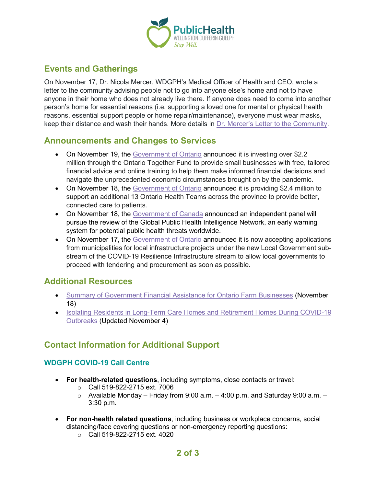

## **Events and Gatherings**

On November 17, Dr. Nicola Mercer, WDGPH's Medical Officer of Health and CEO, wrote a letter to the community advising people not to go into anyone else's home and not to have anyone in their home who does not already live there. If anyone does need to come into another person's home for essential reasons (i.e. supporting a loved one for mental or physical health reasons, essential support people or home repair/maintenance), everyone must wear masks, keep their distance and wash their hands. More details in [Dr. Mercer's Letter to the Community.](https://www.wdgpublichealth.ca/news/dr-mercer-letter-community)

### **Announcements and Changes to Services**

- On November 19, the [Government of Ontario](https://news.ontario.ca/en/release/59271/ontario-supporting-small-businesses-with-financial-advice-and-training) announced it is investing over \$2.2 million through the Ontario Together Fund to provide small businesses with free, tailored financial advice and online training to help them make informed financial decisions and navigate the unprecedented economic circumstances brought on by the pandemic.
- On November 18, the [Government of Ontario](https://news.ontario.ca/en/release/59252/ontario-announces-13-new-ontario-health-teams) announced it is providing \$2.4 million to support an additional 13 Ontario Health Teams across the province to provide better, connected care to patients.
- On November 18, the [Government](https://www.canada.ca/en/public-health/news/2020/11/independent-panel-to-review-global-public-health-surveillance-system3.html) of Canada announced an independent panel will pursue the review of the Global Public Health Intelligence Network, an early warning system for potential public health threats worldwide.
- On November 17, the [Government of Ontario](https://news.ontario.ca/en/release/59239/ontario-opens-covid-19-resilience-infrastructure-stream-for-municipalities) announced it is now accepting applications from municipalities for local infrastructure projects under the new Local Government substream of the COVID-19 Resilience Infrastructure stream to allow local governments to proceed with tendering and procurement as soon as possible.

## **Additional Resources**

- [Summary of Government Financial Assistance for Ontario](https://ofa.on.ca/resources/summary-of-government-financial-assistance-for-ontario-farm-businesses/) Farm Businesses (November 18)
- [Isolating Residents in Long-Term Care Homes and Retirement Homes During COVID-19](https://www.wdgpublichealth.ca/sites/default/files/isolating_residents_in_long-term_care_homes_and_retirement_homes_during_covid-19_outbreaks_2020-11-05_1_002.pdf)  [Outbreaks](https://www.wdgpublichealth.ca/sites/default/files/isolating_residents_in_long-term_care_homes_and_retirement_homes_during_covid-19_outbreaks_2020-11-05_1_002.pdf) (Updated November 4)

## **Contact Information for Additional Support**

#### **WDGPH COVID-19 Call Centre**

- **For health-related questions**, including symptoms, close contacts or travel:
	- $\circ$  Call 519-822-2715 ext. 7006
	- $\circ$  Available Monday Friday from 9:00 a.m. 4:00 p.m. and Saturday 9:00 a.m. 3:30 p.m.
- **For non-health related questions**, including business or workplace concerns, social distancing/face covering questions or non-emergency reporting questions:
	- o Call 519-822-2715 ext. 4020